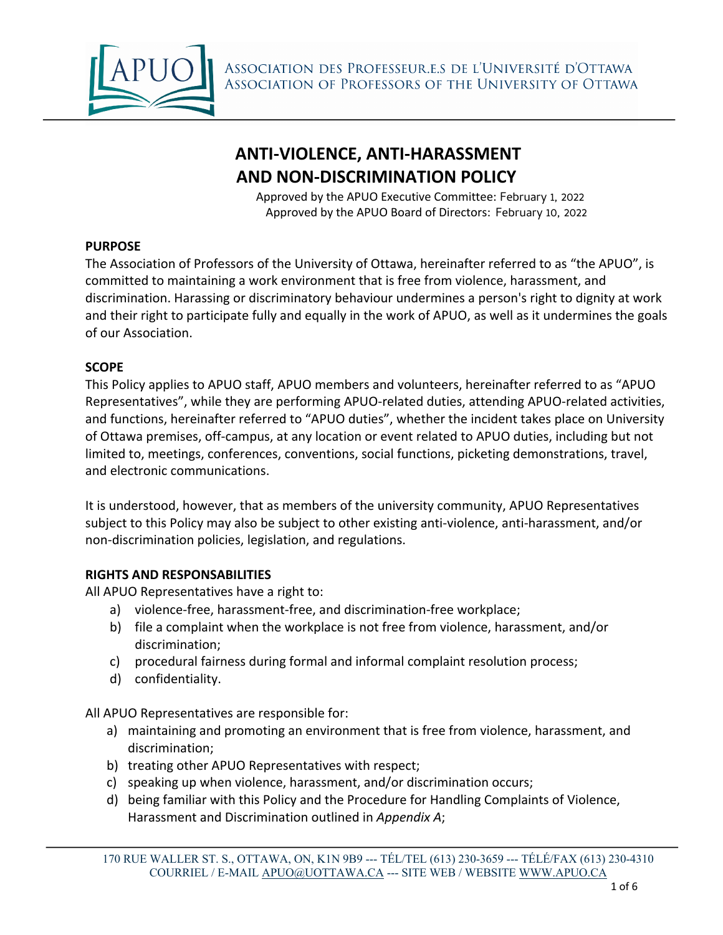

ASSOCIATION DES PROFESSEUR.E.S DE L'UNIVERSITÉ D'OTTAWA ASSOCIATION OF PROFESSORS OF THE UNIVERSITY OF OTTAWA

# **ANTI-VIOLENCE, ANTI-HARASSMENT AND NON-DISCRIMINATION POLICY**

Approved by the APUO Executive Committee: February 1, 2022 Approved by the APUO Board of Directors: February 10, 2022

#### **PURPOSE**

The Association of Professors of the University of Ottawa, hereinafter referred to as "the APUO", is committed to maintaining a work environment that is free from violence, harassment, and discrimination. Harassing or discriminatory behaviour undermines a person's right to dignity at work and their right to participate fully and equally in the work of APUO, as well as it undermines the goals of our Association.

#### **SCOPE**

This Policy applies to APUO staff, APUO members and volunteers, hereinafter referred to as "APUO Representatives", while they are performing APUO-related duties, attending APUO-related activities, and functions, hereinafter referred to "APUO duties", whether the incident takes place on University of Ottawa premises, off-campus, at any location or event related to APUO duties, including but not limited to, meetings, conferences, conventions, social functions, picketing demonstrations, travel, and electronic communications.

It is understood, however, that as members of the university community, APUO Representatives subject to this Policy may also be subject to other existing anti-violence, anti-harassment, and/or non-discrimination policies, legislation, and regulations.

#### **RIGHTS AND RESPONSABILITIES**

All APUO Representatives have a right to:

- a) violence-free, harassment-free, and discrimination-free workplace;
- b) file a complaint when the workplace is not free from violence, harassment, and/or discrimination;
- c) procedural fairness during formal and informal complaint resolution process;
- d) confidentiality.

All APUO Representatives are responsible for:

- a) maintaining and promoting an environment that is free from violence, harassment, and discrimination;
- b) treating other APUO Representatives with respect;
- c) speaking up when violence, harassment, and/or discrimination occurs;
- d) being familiar with this Policy and the Procedure for Handling Complaints of Violence, Harassment and Discrimination outlined in *Appendix A*;

<sup>170</sup> RUE WALLER ST. S., OTTAWA, ON, K1N 9B9 --- TÉL/TEL (613) 230-3659 --- TÉLÉ/FAX (613) 230-4310 COURRIEL / E-MAIL APUO@UOTTAWA.CA --- SITE WEB / WEBSITE WWW.APUO.CA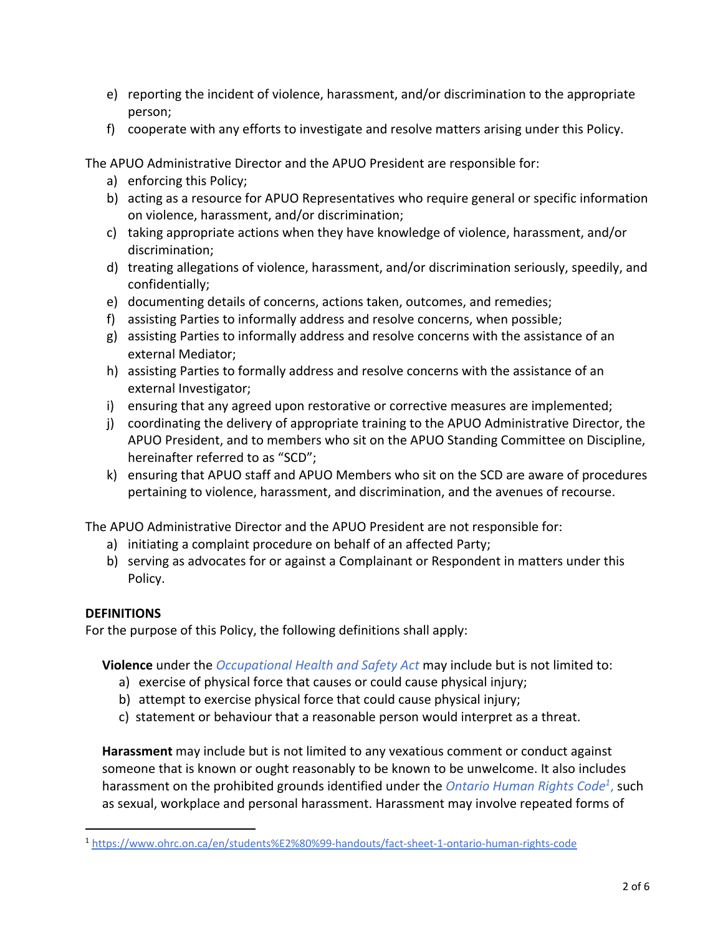- e) reporting the incident of violence, harassment, and/or discrimination to the appropriate person;
- f) cooperate with any efforts to investigate and resolve matters arising under this Policy.

The APUO Administrative Director and the APUO President are responsible for:

- a) enforcing this Policy;
- b) acting as a resource for APUO Representatives who require general or specific information on violence, harassment, and/or discrimination;
- c) taking appropriate actions when they have knowledge of violence, harassment, and/or discrimination;
- d) treating allegations of violence, harassment, and/or discrimination seriously, speedily, and confidentially;
- e) documenting details of concerns, actions taken, outcomes, and remedies;
- f) assisting Parties to informally address and resolve concerns, when possible;
- g) assisting Parties to informally address and resolve concerns with the assistance of an external Mediator;
- h) assisting Parties to formally address and resolve concerns with the assistance of an external Investigator;
- i) ensuring that any agreed upon restorative or corrective measures are implemented;
- j) coordinating the delivery of appropriate training to the APUO Administrative Director, the APUO President, and to members who sit on the APUO Standing Committee on Discipline, hereinafter referred to as "SCD";
- k) ensuring that APUO staff and APUO Members who sit on the SCD are aware of procedures pertaining to violence, harassment, and discrimination, and the avenues of recourse.

The APUO Administrative Director and the APUO President are not responsible for:

- a) initiating a complaint procedure on behalf of an affected Party;
- b) serving as advocates for or against a Complainant or Respondent in matters under this Policy.

#### **DEFINITIONS**

For the purpose of this Policy, the following definitions shall apply:

**Violence** under the *[Occupational Health and Safety Act](https://www.ontario.ca/document/workplace-violence-school-boards-guide-law/workplace-violence-under-occupational-health-and-safety-act)* may include but is not limited to:

- a) exercise of physical force that causes or could cause physical injury;
- b) attempt to exercise physical force that could cause physical injury;
- c) statement or behaviour that a reasonable person would interpret as a threat.

**Harassment** may include but is not limited to any vexatious comment or conduct against someone that is known or ought reasonably to be known to be unwelcome. It also includes harassment on the prohibited grounds identified under the *[Ontario](https://www.ohrc.on.ca/en/students%E2%80%99-handouts/fact-sheet-1-ontario-human-rights-code) Human Rights Code1*, such as sexual, workplace and personal harassment. Harassment may involve repeated forms of

<sup>1</sup> <https://www.ohrc.on.ca/en/students%E2%80%99-handouts/fact-sheet-1-ontario-human-rights-code>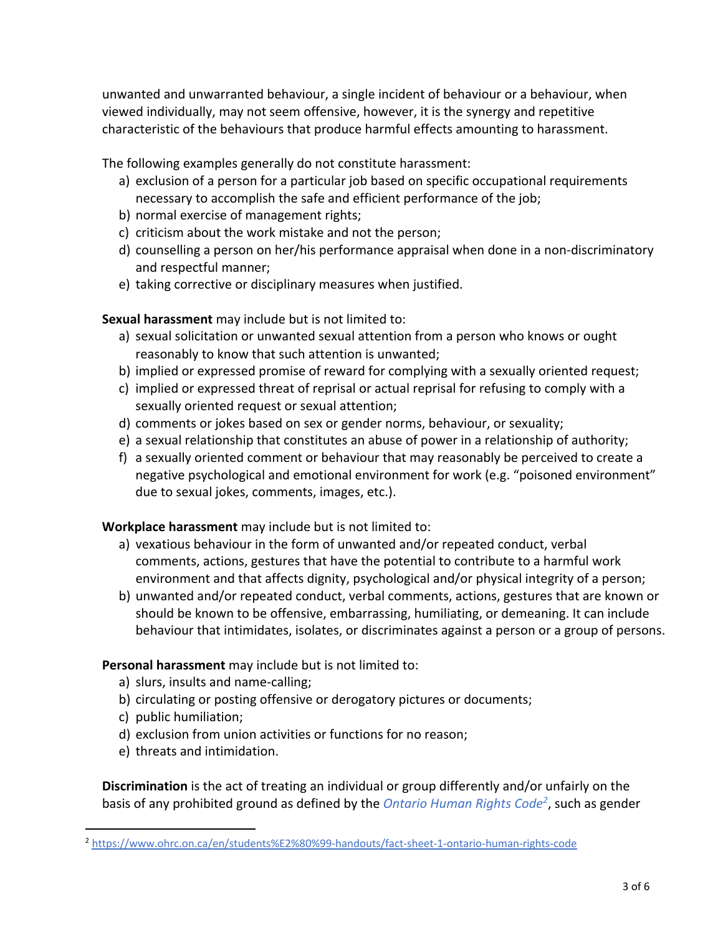unwanted and unwarranted behaviour, a single incident of behaviour or a behaviour, when viewed individually, may not seem offensive, however, it is the synergy and repetitive characteristic of the behaviours that produce harmful effects amounting to harassment.

The following examples generally do not constitute harassment:

- a) exclusion of a person for a particular job based on specific occupational requirements necessary to accomplish the safe and efficient performance of the job;
- b) normal exercise of management rights;
- c) criticism about the work mistake and not the person;
- d) counselling a person on her/his performance appraisal when done in a non-discriminatory and respectful manner;
- e) taking corrective or disciplinary measures when justified.

## **Sexual harassment** may include but is not limited to:

- a) sexual solicitation or unwanted sexual attention from a person who knows or ought reasonably to know that such attention is unwanted;
- b) implied or expressed promise of reward for complying with a sexually oriented request;
- c) implied or expressed threat of reprisal or actual reprisal for refusing to comply with a sexually oriented request or sexual attention;
- d) comments or jokes based on sex or gender norms, behaviour, or sexuality;
- e) a sexual relationship that constitutes an abuse of power in a relationship of authority;
- f) a sexually oriented comment or behaviour that may reasonably be perceived to create a negative psychological and emotional environment for work (e.g. "poisoned environment" due to sexual jokes, comments, images, etc.).

**Workplace harassment** may include but is not limited to:

- a) vexatious behaviour in the form of unwanted and/or repeated conduct, verbal comments, actions, gestures that have the potential to contribute to a harmful work environment and that affects dignity, psychological and/or physical integrity of a person;
- b) unwanted and/or repeated conduct, verbal comments, actions, gestures that are known or should be known to be offensive, embarrassing, humiliating, or demeaning. It can include behaviour that intimidates, isolates, or discriminates against a person or a group of persons.

# **Personal harassment** may include but is not limited to:

- a) slurs, insults and name-calling;
- b) circulating or posting offensive or derogatory pictures or documents;
- c) public humiliation;
- d) exclusion from union activities or functions for no reason;
- e) threats and intimidation.

**Discrimination** is the act of treating an individual or group differently and/or unfairly on the basis of any prohibited ground as defined by the *[Ontario Human Rights Code2](https://www.ohrc.on.ca/en/students%E2%80%99-handouts/fact-sheet-1-ontario-human-rights-code)* , such as gender

<sup>2</sup> <https://www.ohrc.on.ca/en/students%E2%80%99-handouts/fact-sheet-1-ontario-human-rights-code>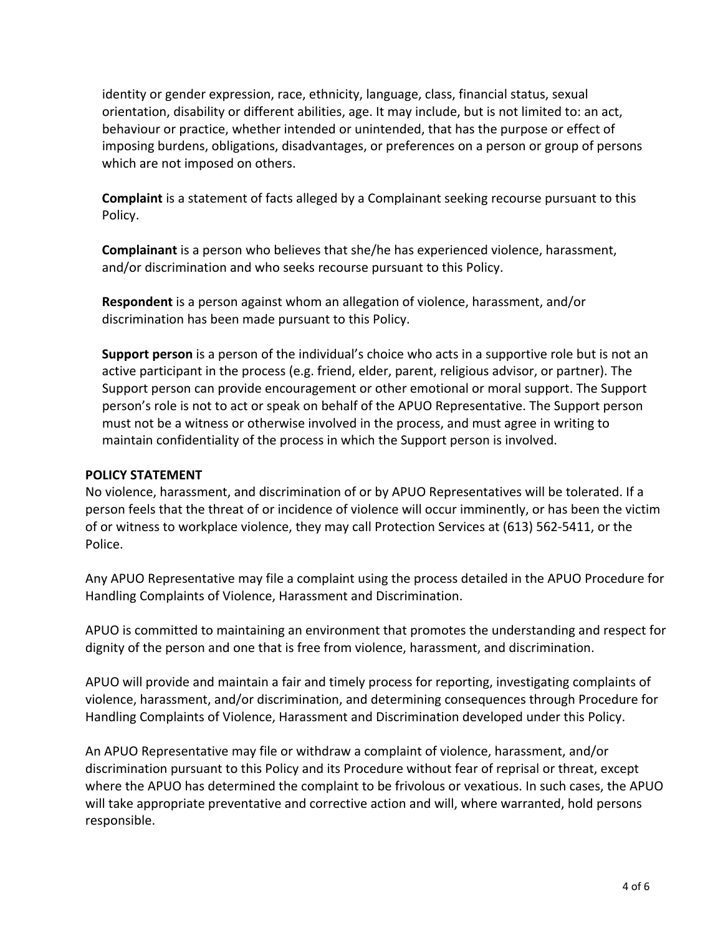identity or gender expression, race, ethnicity, language, class, financial status, sexual orientation, disability or different abilities, age. It may include, but is not limited to: an act, behaviour or practice, whether intended or unintended, that has the purpose or effect of imposing burdens, obligations, disadvantages, or preferences on a person or group of persons which are not imposed on others.

**Complaint** is a statement of facts alleged by a Complainant seeking recourse pursuant to this Policy.

**Complainant** is a person who believes that she/he has experienced violence, harassment, and/or discrimination and who seeks recourse pursuant to this Policy.

**Respondent** is a person against whom an allegation of violence, harassment, and/or discrimination has been made pursuant to this Policy.

**Support person** is a person of the individual's choice who acts in a supportive role but is not an active participant in the process (e.g. friend, elder, parent, religious advisor, or partner). The Support person can provide encouragement or other emotional or moral support. The Support person's role is not to act or speak on behalf of the APUO Representative. The Support person must not be a witness or otherwise involved in the process, and must agree in writing to maintain confidentiality of the process in which the Support person is involved.

#### **POLICY STATEMENT**

No violence, harassment, and discrimination of or by APUO Representatives will be tolerated. If a person feels that the threat of or incidence of violence will occur imminently, or has been the victim of or witness to workplace violence, they may call Protection Services at (613) 562-5411, or the Police.

Any APUO Representative may file a complaint using the process detailed in the APUO Procedure for Handling Complaints of Violence, Harassment and Discrimination.

APUO is committed to maintaining an environment that promotes the understanding and respect for dignity of the person and one that is free from violence, harassment, and discrimination.

APUO will provide and maintain a fair and timely process for reporting, investigating complaints of violence, harassment, and/or discrimination, and determining consequences through Procedure for Handling Complaints of Violence, Harassment and Discrimination developed under this Policy.

An APUO Representative may file or withdraw a complaint of violence, harassment, and/or discrimination pursuant to this Policy and its Procedure without fear of reprisal or threat, except where the APUO has determined the complaint to be frivolous or vexatious. In such cases, the APUO will take appropriate preventative and corrective action and will, where warranted, hold persons responsible.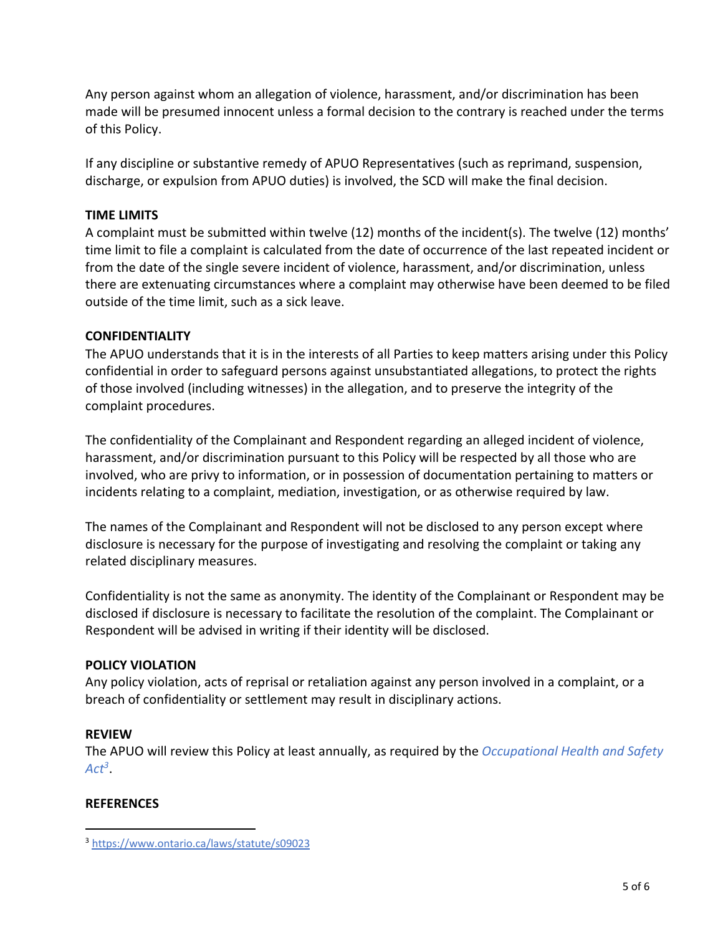Any person against whom an allegation of violence, harassment, and/or discrimination has been made will be presumed innocent unless a formal decision to the contrary is reached under the terms of this Policy.

If any discipline or substantive remedy of APUO Representatives (such as reprimand, suspension, discharge, or expulsion from APUO duties) is involved, the SCD will make the final decision.

## **TIME LIMITS**

A complaint must be submitted within twelve (12) months of the incident(s). The twelve (12) months' time limit to file a complaint is calculated from the date of occurrence of the last repeated incident or from the date of the single severe incident of violence, harassment, and/or discrimination, unless there are extenuating circumstances where a complaint may otherwise have been deemed to be filed outside of the time limit, such as a sick leave.

## **CONFIDENTIALITY**

The APUO understands that it is in the interests of all Parties to keep matters arising under this Policy confidential in order to safeguard persons against unsubstantiated allegations, to protect the rights of those involved (including witnesses) in the allegation, and to preserve the integrity of the complaint procedures.

The confidentiality of the Complainant and Respondent regarding an alleged incident of violence, harassment, and/or discrimination pursuant to this Policy will be respected by all those who are involved, who are privy to information, or in possession of documentation pertaining to matters or incidents relating to a complaint, mediation, investigation, or as otherwise required by law.

The names of the Complainant and Respondent will not be disclosed to any person except where disclosure is necessary for the purpose of investigating and resolving the complaint or taking any related disciplinary measures.

Confidentiality is not the same as anonymity. The identity of the Complainant or Respondent may be disclosed if disclosure is necessary to facilitate the resolution of the complaint. The Complainant or Respondent will be advised in writing if their identity will be disclosed.

# **POLICY VIOLATION**

Any policy violation, acts of reprisal or retaliation against any person involved in a complaint, or a breach of confidentiality or settlement may result in disciplinary actions.

# **REVIEW**

The APUO will review this Policy at least annually, as required by the *[Occupational Health and Safety](https://www.ontario.ca/laws/statute/s09023)  [Act3](https://www.ontario.ca/laws/statute/s09023)*.

## **REFERENCES**

<sup>3</sup> <https://www.ontario.ca/laws/statute/s09023>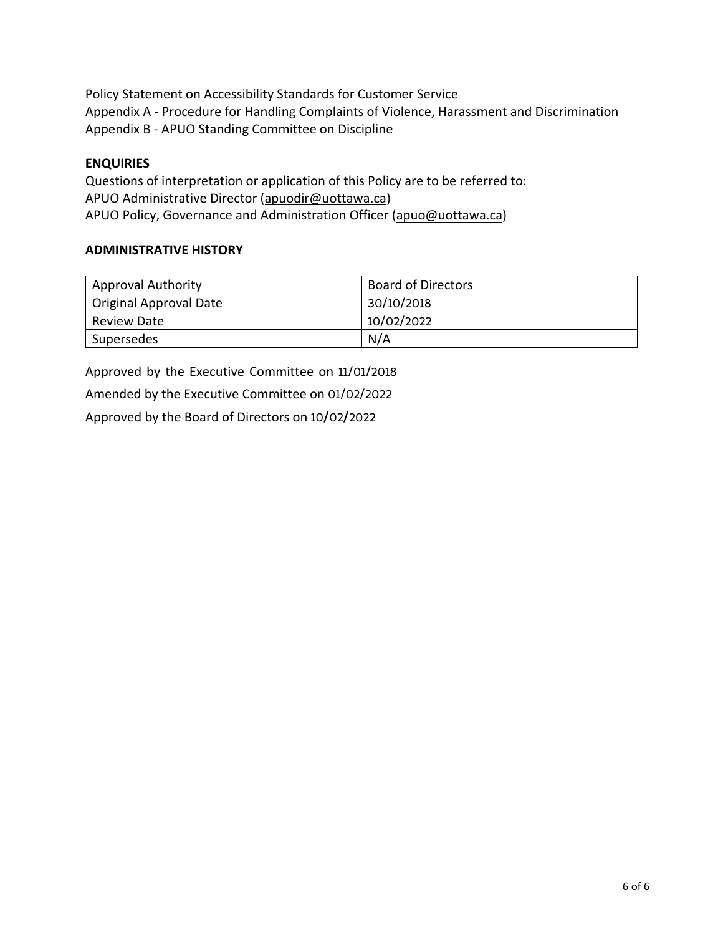Policy Statement on Accessibility Standards for Customer Service Appendix A - Procedure for Handling Complaints of Violence, Harassment and Discrimination Appendix B - APUO Standing Committee on Discipline

#### **ENQUIRIES**

Questions of interpretation or application of this Policy are to be referred to: APUO Administrative Director (apuodir@uottawa.ca) APUO Policy, Governance and Administration Officer (apuo@uottawa.ca)

#### **ADMINISTRATIVE HISTORY**

| <b>Approval Authority</b> | <b>Board of Directors</b> |
|---------------------------|---------------------------|
| Original Approval Date    | 30/10/2018                |
| <b>Review Date</b>        | 10/02/2022                |
| Supersedes                | N/A                       |

Approved by the Executive Committee on 11/01/2018 Amended by the Executive Committee on 01/02/2022 Approved by the Board of Directors on 10**/**02**/**2022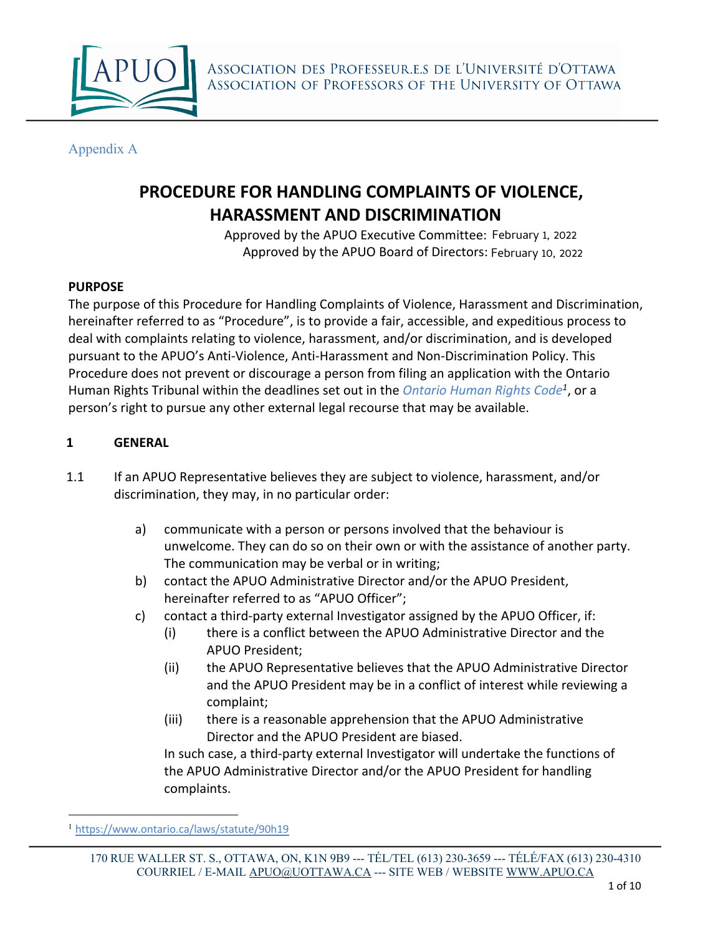

Appendix A

# **PROCEDURE FOR HANDLING COMPLAINTS OF VIOLENCE, HARASSMENT AND DISCRIMINATION**

Approved by the APUO Executive Committee: February 1, 2022 Approved by the APUO Board of Directors: February 10, 2022

## **PURPOSE**

The purpose of this Procedure for Handling Complaints of Violence, Harassment and Discrimination, hereinafter referred to as "Procedure", is to provide a fair, accessible, and expeditious process to deal with complaints relating to violence, harassment, and/or discrimination, and is developed pursuant to the APUO's Anti-Violence, Anti-Harassment and Non-Discrimination Policy. This Procedure does not prevent or discourage a person from filing an application with the Ontario Human Rights Tribunal within the deadlines set out in the *[Ontario Human Rights Code](https://www.ontario.ca/laws/statute/90h19)<sup>1</sup>* , or a person's right to pursue any other external legal recourse that may be available.

## **1 GENERAL**

- 1.1 If an APUO Representative believes they are subject to violence, harassment, and/or discrimination, they may, in no particular order:
	- a) communicate with a person or persons involved that the behaviour is unwelcome. They can do so on their own or with the assistance of another party. The communication may be verbal or in writing;
	- b) contact the APUO Administrative Director and/or the APUO President, hereinafter referred to as "APUO Officer";
	- c) contact a third-party external Investigator assigned by the APUO Officer, if:
		- (i) there is a conflict between the APUO Administrative Director and the APUO President;
		- (ii) the APUO Representative believes that the APUO Administrative Director and the APUO President may be in a conflict of interest while reviewing a complaint;
		- (iii) there is a reasonable apprehension that the APUO Administrative Director and the APUO President are biased.

In such case, a third-party external Investigator will undertake the functions of the APUO Administrative Director and/or the APUO President for handling complaints.

<sup>1</sup> <https://www.ontario.ca/laws/statute/90h19>

<sup>170</sup> RUE WALLER ST. S., OTTAWA, ON, K1N 9B9 --- TÉL/TEL (613) 230-3659 --- TÉLÉ/FAX (613) 230-4310 COURRIEL / E-MAIL APUO@UOTTAWA.CA --- SITE WEB / WEBSITE WWW.APUO.CA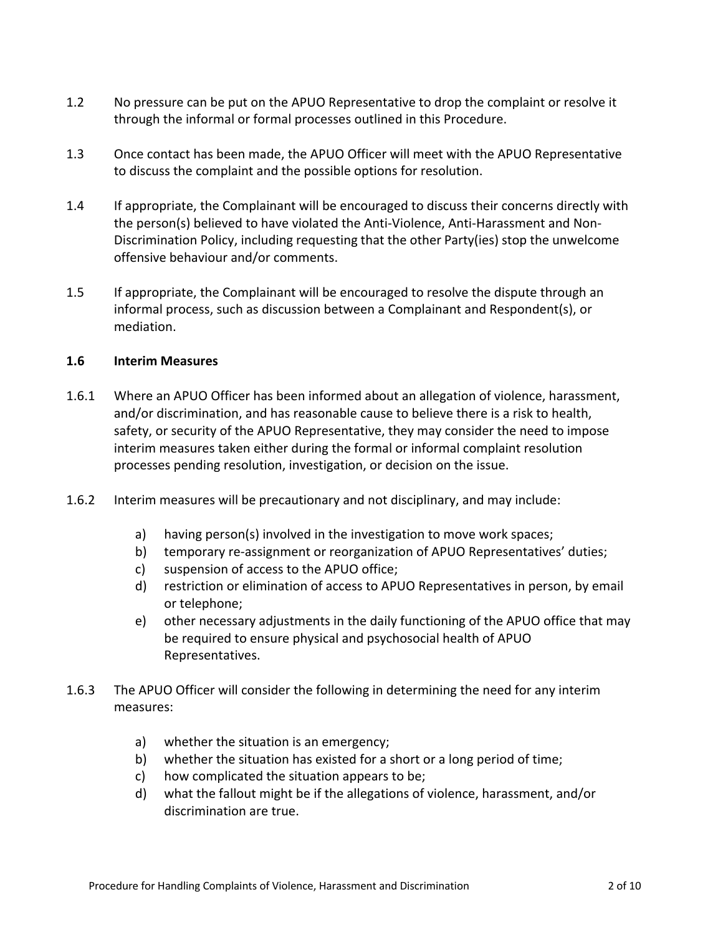- 1.2 No pressure can be put on the APUO Representative to drop the complaint or resolve it through the informal or formal processes outlined in this Procedure.
- 1.3 Once contact has been made, the APUO Officer will meet with the APUO Representative to discuss the complaint and the possible options for resolution.
- 1.4 If appropriate, the Complainant will be encouraged to discuss their concerns directly with the person(s) believed to have violated the Anti-Violence, Anti-Harassment and Non-Discrimination Policy, including requesting that the other Party(ies) stop the unwelcome offensive behaviour and/or comments.
- 1.5 If appropriate, the Complainant will be encouraged to resolve the dispute through an informal process, such as discussion between a Complainant and Respondent(s), or mediation.

#### **1.6 Interim Measures**

- 1.6.1 Where an APUO Officer has been informed about an allegation of violence, harassment, and/or discrimination, and has reasonable cause to believe there is a risk to health, safety, or security of the APUO Representative, they may consider the need to impose interim measures taken either during the formal or informal complaint resolution processes pending resolution, investigation, or decision on the issue.
- 1.6.2 Interim measures will be precautionary and not disciplinary, and may include:
	- a) having person(s) involved in the investigation to move work spaces;
	- b) temporary re-assignment or reorganization of APUO Representatives' duties;
	- c) suspension of access to the APUO office;
	- d) restriction or elimination of access to APUO Representatives in person, by email or telephone;
	- e) other necessary adjustments in the daily functioning of the APUO office that may be required to ensure physical and psychosocial health of APUO Representatives.
- 1.6.3 The APUO Officer will consider the following in determining the need for any interim measures:
	- a) whether the situation is an emergency;
	- b) whether the situation has existed for a short or a long period of time;
	- c) how complicated the situation appears to be;
	- d) what the fallout might be if the allegations of violence, harassment, and/or discrimination are true.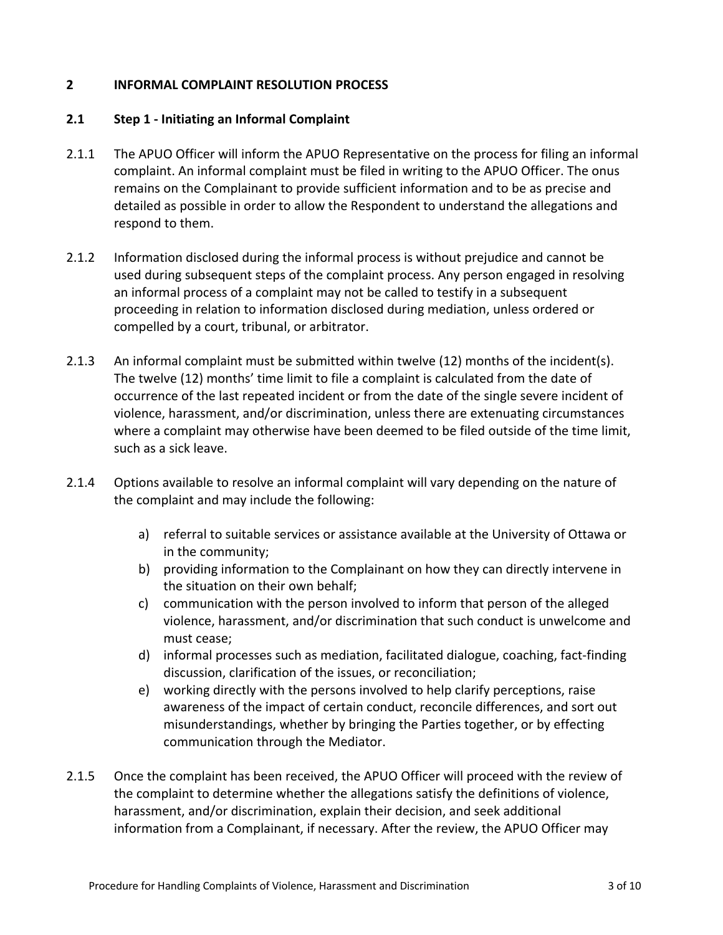#### **2 INFORMAL COMPLAINT RESOLUTION PROCESS**

#### **2.1 Step 1 - Initiating an Informal Complaint**

- 2.1.1 The APUO Officer will inform the APUO Representative on the process for filing an informal complaint. An informal complaint must be filed in writing to the APUO Officer. The onus remains on the Complainant to provide sufficient information and to be as precise and detailed as possible in order to allow the Respondent to understand the allegations and respond to them.
- 2.1.2 Information disclosed during the informal process is without prejudice and cannot be used during subsequent steps of the complaint process. Any person engaged in resolving an informal process of a complaint may not be called to testify in a subsequent proceeding in relation to information disclosed during mediation, unless ordered or compelled by a court, tribunal, or arbitrator.
- 2.1.3 An informal complaint must be submitted within twelve (12) months of the incident(s). The twelve (12) months' time limit to file a complaint is calculated from the date of occurrence of the last repeated incident or from the date of the single severe incident of violence, harassment, and/or discrimination, unless there are extenuating circumstances where a complaint may otherwise have been deemed to be filed outside of the time limit, such as a sick leave.
- 2.1.4 Options available to resolve an informal complaint will vary depending on the nature of the complaint and may include the following:
	- a) referral to suitable services or assistance available at the University of Ottawa or in the community;
	- b) providing information to the Complainant on how they can directly intervene in the situation on their own behalf;
	- c) communication with the person involved to inform that person of the alleged violence, harassment, and/or discrimination that such conduct is unwelcome and must cease;
	- d) informal processes such as mediation, facilitated dialogue, coaching, fact-finding discussion, clarification of the issues, or reconciliation;
	- e) working directly with the persons involved to help clarify perceptions, raise awareness of the impact of certain conduct, reconcile differences, and sort out misunderstandings, whether by bringing the Parties together, or by effecting communication through the Mediator.
- 2.1.5 Once the complaint has been received, the APUO Officer will proceed with the review of the complaint to determine whether the allegations satisfy the definitions of violence, harassment, and/or discrimination, explain their decision, and seek additional information from a Complainant, if necessary. After the review, the APUO Officer may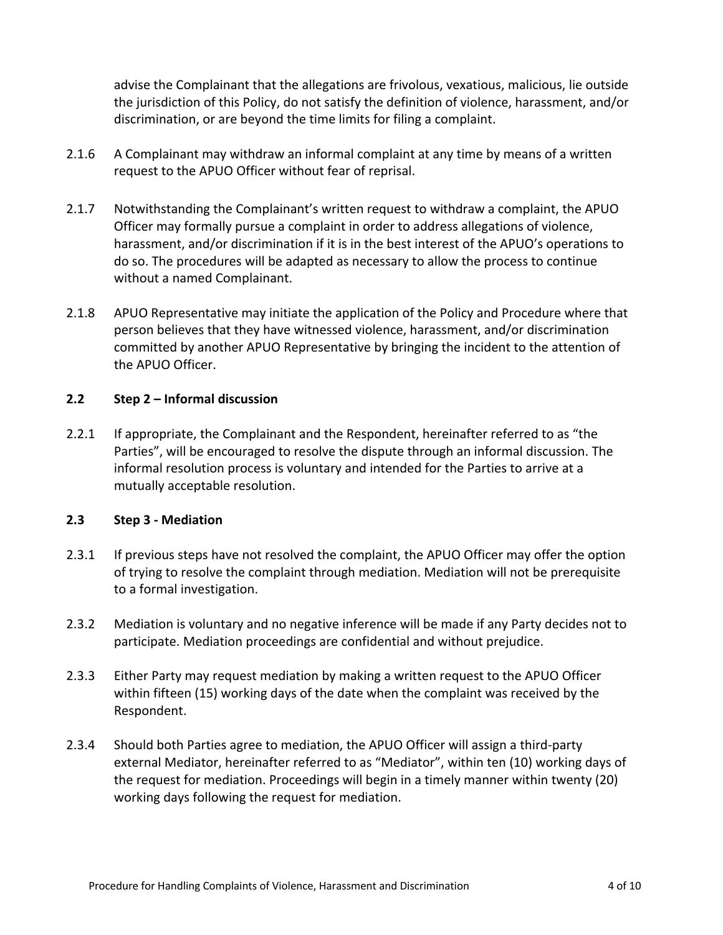advise the Complainant that the allegations are frivolous, vexatious, malicious, lie outside the jurisdiction of this Policy, do not satisfy the definition of violence, harassment, and/or discrimination, or are beyond the time limits for filing a complaint.

- 2.1.6 A Complainant may withdraw an informal complaint at any time by means of a written request to the APUO Officer without fear of reprisal.
- 2.1.7 Notwithstanding the Complainant's written request to withdraw a complaint, the APUO Officer may formally pursue a complaint in order to address allegations of violence, harassment, and/or discrimination if it is in the best interest of the APUO's operations to do so. The procedures will be adapted as necessary to allow the process to continue without a named Complainant.
- 2.1.8 APUO Representative may initiate the application of the Policy and Procedure where that person believes that they have witnessed violence, harassment, and/or discrimination committed by another APUO Representative by bringing the incident to the attention of the APUO Officer.

## **2.2 Step 2 – Informal discussion**

2.2.1 If appropriate, the Complainant and the Respondent, hereinafter referred to as "the Parties", will be encouraged to resolve the dispute through an informal discussion. The informal resolution process is voluntary and intended for the Parties to arrive at a mutually acceptable resolution.

#### **2.3 Step 3 - Mediation**

- 2.3.1 If previous steps have not resolved the complaint, the APUO Officer may offer the option of trying to resolve the complaint through mediation. Mediation will not be prerequisite to a formal investigation.
- 2.3.2 Mediation is voluntary and no negative inference will be made if any Party decides not to participate. Mediation proceedings are confidential and without prejudice.
- 2.3.3 Either Party may request mediation by making a written request to the APUO Officer within fifteen (15) working days of the date when the complaint was received by the Respondent.
- 2.3.4 Should both Parties agree to mediation, the APUO Officer will assign a third-party external Mediator, hereinafter referred to as "Mediator", within ten (10) working days of the request for mediation. Proceedings will begin in a timely manner within twenty (20) working days following the request for mediation.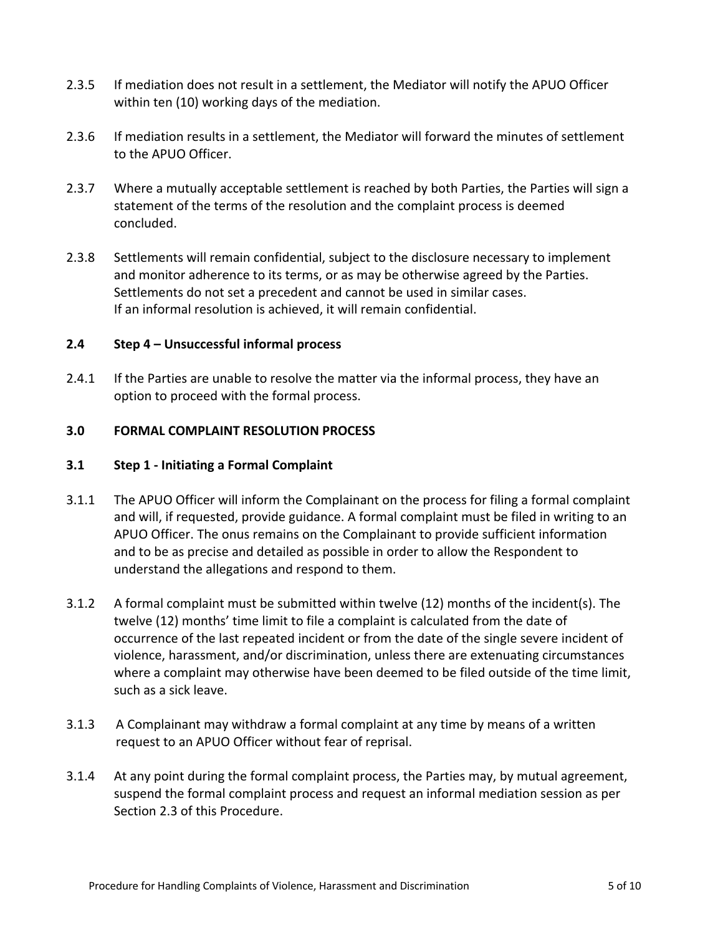- 2.3.5 If mediation does not result in a settlement, the Mediator will notify the APUO Officer within ten (10) working days of the mediation.
- 2.3.6 If mediation results in a settlement, the Mediator will forward the minutes of settlement to the APUO Officer.
- 2.3.7 Where a mutually acceptable settlement is reached by both Parties, the Parties will sign a statement of the terms of the resolution and the complaint process is deemed concluded.
- 2.3.8 Settlements will remain confidential, subject to the disclosure necessary to implement and monitor adherence to its terms, or as may be otherwise agreed by the Parties. Settlements do not set a precedent and cannot be used in similar cases. If an informal resolution is achieved, it will remain confidential.

#### **2.4 Step 4 – Unsuccessful informal process**

2.4.1 If the Parties are unable to resolve the matter via the informal process, they have an option to proceed with the formal process.

#### **3.0 FORMAL COMPLAINT RESOLUTION PROCESS**

#### **3.1 Step 1 - Initiating a Formal Complaint**

- 3.1.1 The APUO Officer will inform the Complainant on the process for filing a formal complaint and will, if requested, provide guidance. A formal complaint must be filed in writing to an APUO Officer. The onus remains on the Complainant to provide sufficient information and to be as precise and detailed as possible in order to allow the Respondent to understand the allegations and respond to them.
- 3.1.2 A formal complaint must be submitted within twelve (12) months of the incident(s). The twelve (12) months' time limit to file a complaint is calculated from the date of occurrence of the last repeated incident or from the date of the single severe incident of violence, harassment, and/or discrimination, unless there are extenuating circumstances where a complaint may otherwise have been deemed to be filed outside of the time limit, such as a sick leave.
- 3.1.3 A Complainant may withdraw a formal complaint at any time by means of a written request to an APUO Officer without fear of reprisal.
- 3.1.4 At any point during the formal complaint process, the Parties may, by mutual agreement, suspend the formal complaint process and request an informal mediation session as per Section 2.3 of this Procedure.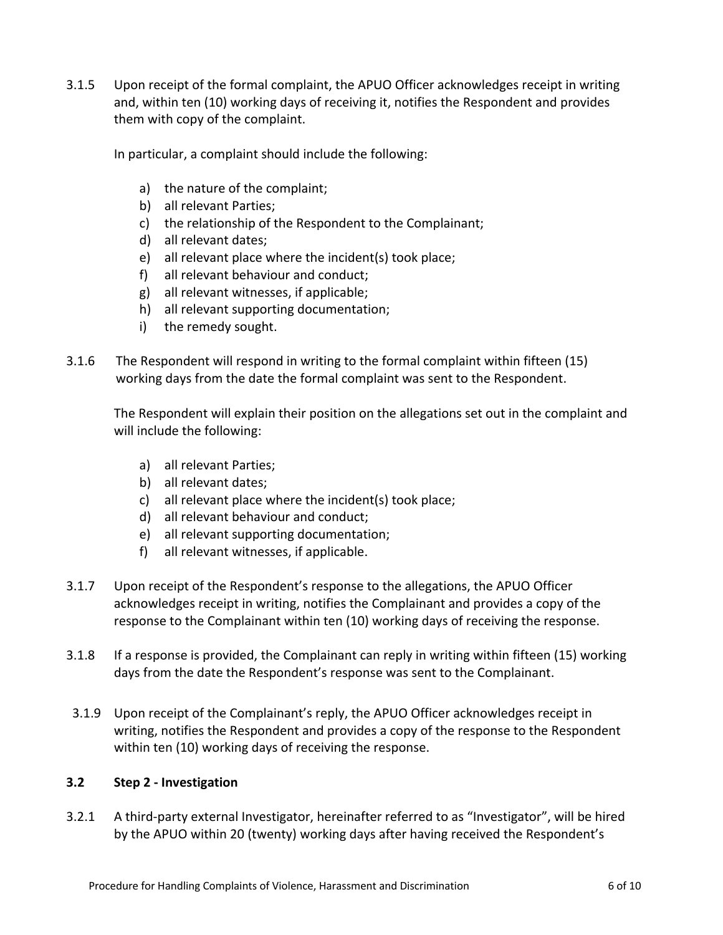3.1.5 Upon receipt of the formal complaint, the APUO Officer acknowledges receipt in writing and, within ten (10) working days of receiving it, notifies the Respondent and provides them with copy of the complaint.

In particular, a complaint should include the following:

- a) the nature of the complaint;
- b) all relevant Parties;
- c) the relationship of the Respondent to the Complainant;
- d) all relevant dates;
- e) all relevant place where the incident(s) took place;
- f) all relevant behaviour and conduct;
- g) all relevant witnesses, if applicable;
- h) all relevant supporting documentation;
- i) the remedy sought.
- 3.1.6 The Respondent will respond in writing to the formal complaint within fifteen (15) working days from the date the formal complaint was sent to the Respondent.

The Respondent will explain their position on the allegations set out in the complaint and will include the following:

- a) all relevant Parties;
- b) all relevant dates;
- c) all relevant place where the incident(s) took place;
- d) all relevant behaviour and conduct;
- e) all relevant supporting documentation;
- f) all relevant witnesses, if applicable.
- 3.1.7 Upon receipt of the Respondent's response to the allegations, the APUO Officer acknowledges receipt in writing, notifies the Complainant and provides a copy of the response to the Complainant within ten (10) working days of receiving the response.
- 3.1.8 If a response is provided, the Complainant can reply in writing within fifteen (15) working days from the date the Respondent's response was sent to the Complainant.
- 3.1.9 Upon receipt of the Complainant's reply, the APUO Officer acknowledges receipt in writing, notifies the Respondent and provides a copy of the response to the Respondent within ten (10) working days of receiving the response.

#### **3.2 Step 2 - Investigation**

3.2.1 A third-party external Investigator, hereinafter referred to as "Investigator", will be hired by the APUO within 20 (twenty) working days after having received the Respondent's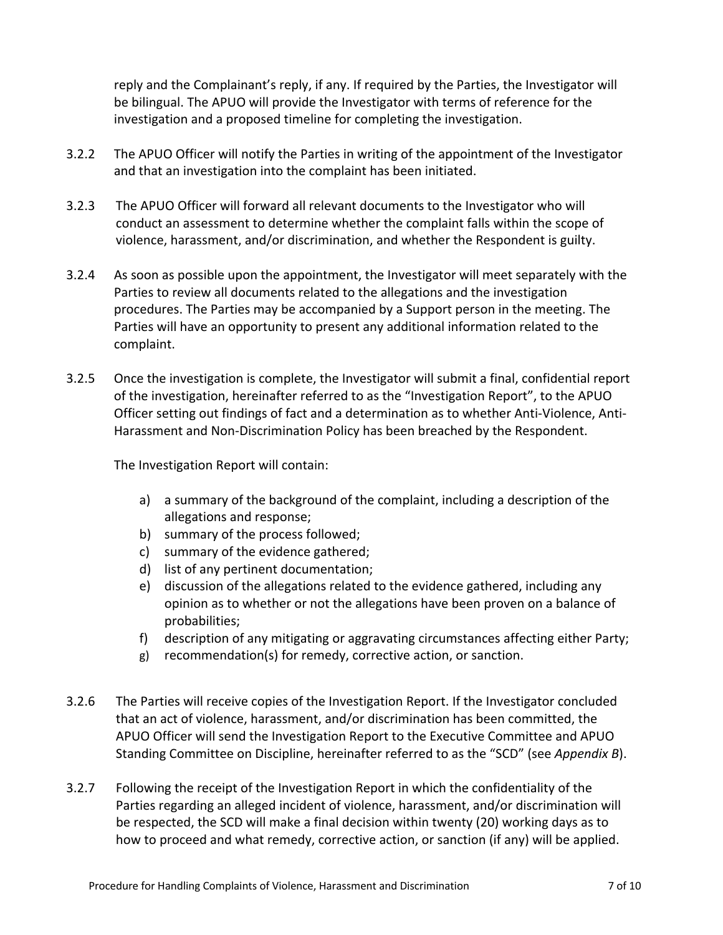reply and the Complainant's reply, if any. If required by the Parties, the Investigator will be bilingual. The APUO will provide the Investigator with terms of reference for the investigation and a proposed timeline for completing the investigation.

- 3.2.2 The APUO Officer will notify the Parties in writing of the appointment of the Investigator and that an investigation into the complaint has been initiated.
- 3.2.3 The APUO Officer will forward all relevant documents to the Investigator who will conduct an assessment to determine whether the complaint falls within the scope of violence, harassment, and/or discrimination, and whether the Respondent is guilty.
- 3.2.4 As soon as possible upon the appointment, the Investigator will meet separately with the Parties to review all documents related to the allegations and the investigation procedures. The Parties may be accompanied by a Support person in the meeting. The Parties will have an opportunity to present any additional information related to the complaint.
- 3.2.5 Once the investigation is complete, the Investigator will submit a final, confidential report of the investigation, hereinafter referred to as the "Investigation Report", to the APUO Officer setting out findings of fact and a determination as to whether Anti-Violence, Anti-Harassment and Non-Discrimination Policy has been breached by the Respondent.

The Investigation Report will contain:

- a) a summary of the background of the complaint, including a description of the allegations and response;
- b) summary of the process followed;
- c) summary of the evidence gathered;
- d) list of any pertinent documentation;
- e) discussion of the allegations related to the evidence gathered, including any opinion as to whether or not the allegations have been proven on a balance of probabilities;
- f) description of any mitigating or aggravating circumstances affecting either Party;
- g) recommendation(s) for remedy, corrective action, or sanction.
- 3.2.6 The Parties will receive copies of the Investigation Report. If the Investigator concluded that an act of violence, harassment, and/or discrimination has been committed, the APUO Officer will send the Investigation Report to the Executive Committee and APUO Standing Committee on Discipline, hereinafter referred to as the "SCD" (see *Appendix B*).
- 3.2.7 Following the receipt of the Investigation Report in which the confidentiality of the Parties regarding an alleged incident of violence, harassment, and/or discrimination will be respected, the SCD will make a final decision within twenty (20) working days as to how to proceed and what remedy, corrective action, or sanction (if any) will be applied.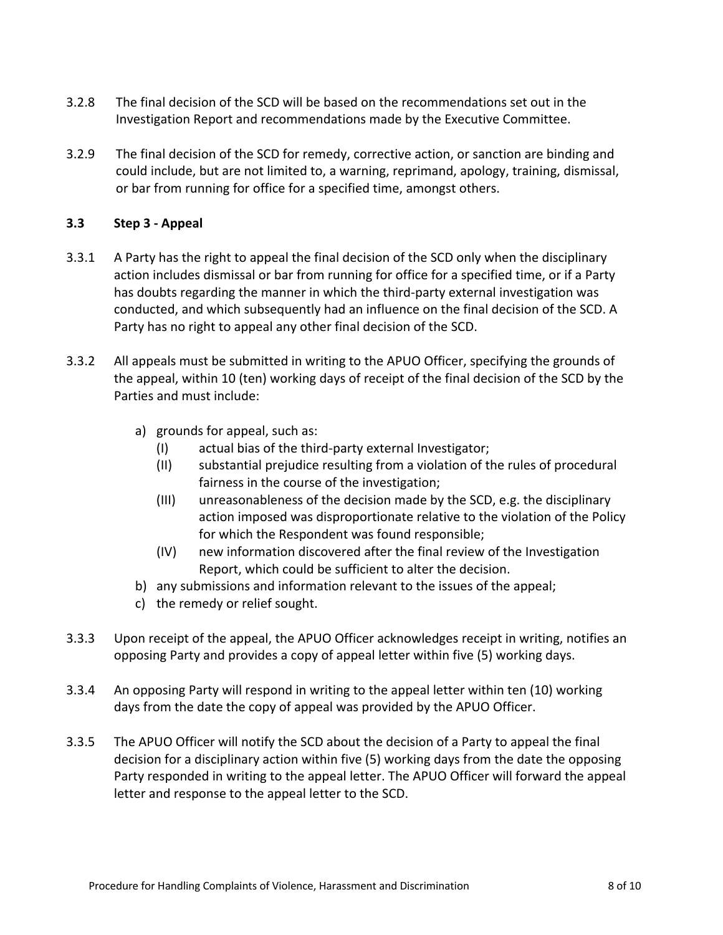- 3.2.8 The final decision of the SCD will be based on the recommendations set out in the Investigation Report and recommendations made by the Executive Committee.
- 3.2.9 The final decision of the SCD for remedy, corrective action, or sanction are binding and could include, but are not limited to, a warning, reprimand, apology, training, dismissal, or bar from running for office for a specified time, amongst others.

## **3.3 Step 3 - Appeal**

- 3.3.1 A Party has the right to appeal the final decision of the SCD only when the disciplinary action includes dismissal or bar from running for office for a specified time, or if a Party has doubts regarding the manner in which the third-party external investigation was conducted, and which subsequently had an influence on the final decision of the SCD. A Party has no right to appeal any other final decision of the SCD.
- 3.3.2 All appeals must be submitted in writing to the APUO Officer, specifying the grounds of the appeal, within 10 (ten) working days of receipt of the final decision of the SCD by the Parties and must include:
	- a) grounds for appeal, such as:
		- (I) actual bias of the third-party external Investigator;
		- (II) substantial prejudice resulting from a violation of the rules of procedural fairness in the course of the investigation;
		- (III) unreasonableness of the decision made by the SCD, e.g. the disciplinary action imposed was disproportionate relative to the violation of the Policy for which the Respondent was found responsible;
		- (IV) new information discovered after the final review of the Investigation Report, which could be sufficient to alter the decision.
	- b) any submissions and information relevant to the issues of the appeal;
	- c) the remedy or relief sought.
- 3.3.3 Upon receipt of the appeal, the APUO Officer acknowledges receipt in writing, notifies an opposing Party and provides a copy of appeal letter within five (5) working days.
- 3.3.4 An opposing Party will respond in writing to the appeal letter within ten (10) working days from the date the copy of appeal was provided by the APUO Officer.
- 3.3.5 The APUO Officer will notify the SCD about the decision of a Party to appeal the final decision for a disciplinary action within five (5) working days from the date the opposing Party responded in writing to the appeal letter. The APUO Officer will forward the appeal letter and response to the appeal letter to the SCD.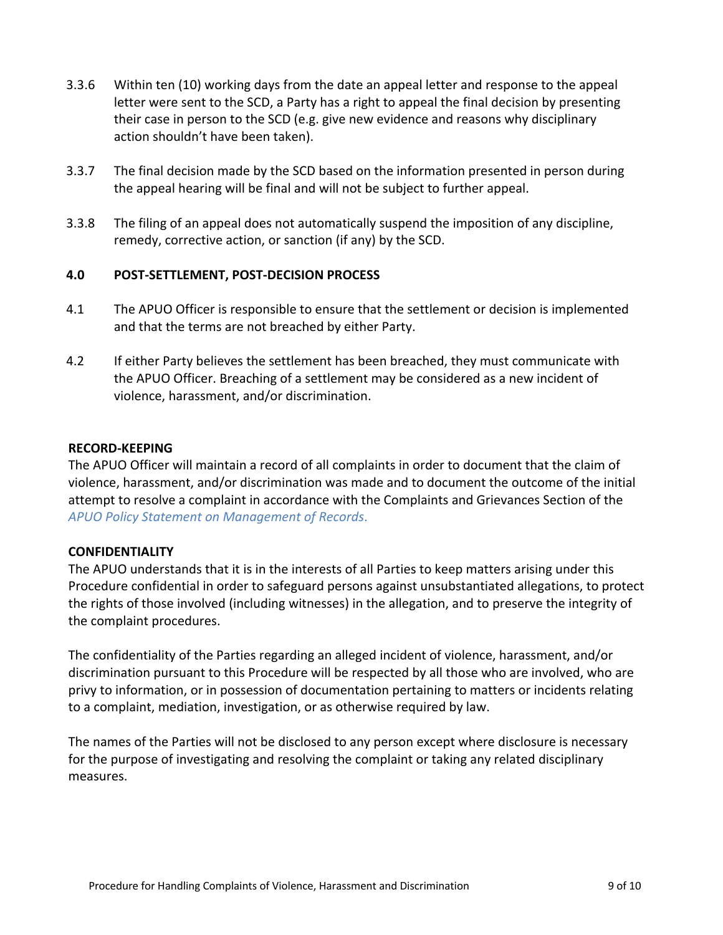- 3.3.6 Within ten (10) working days from the date an appeal letter and response to the appeal letter were sent to the SCD, a Party has a right to appeal the final decision by presenting their case in person to the SCD (e.g. give new evidence and reasons why disciplinary action shouldn't have been taken).
- 3.3.7 The final decision made by the SCD based on the information presented in person during the appeal hearing will be final and will not be subject to further appeal.
- 3.3.8 The filing of an appeal does not automatically suspend the imposition of any discipline, remedy, corrective action, or sanction (if any) by the SCD.

#### **4.0 POST-SETTLEMENT, POST-DECISION PROCESS**

- 4.1 The APUO Officer is responsible to ensure that the settlement or decision is implemented and that the terms are not breached by either Party.
- 4.2 If either Party believes the settlement has been breached, they must communicate with the APUO Officer. Breaching of a settlement may be considered as a new incident of violence, harassment, and/or discrimination.

#### **RECORD-KEEPING**

The APUO Officer will maintain a record of all complaints in order to document that the claim of violence, harassment, and/or discrimination was made and to document the outcome of the initial attempt to resolve a complaint in accordance with the Complaints and Grievances Section of the *[APUO Policy Statement on Management of Records](https://apuo.ca/wp-content/uploads/2020/07/Policy-Management-of-Record.pdf)*.

#### **CONFIDENTIALITY**

The APUO understands that it is in the interests of all Parties to keep matters arising under this Procedure confidential in order to safeguard persons against unsubstantiated allegations, to protect the rights of those involved (including witnesses) in the allegation, and to preserve the integrity of the complaint procedures.

The confidentiality of the Parties regarding an alleged incident of violence, harassment, and/or discrimination pursuant to this Procedure will be respected by all those who are involved, who are privy to information, or in possession of documentation pertaining to matters or incidents relating to a complaint, mediation, investigation, or as otherwise required by law.

The names of the Parties will not be disclosed to any person except where disclosure is necessary for the purpose of investigating and resolving the complaint or taking any related disciplinary measures.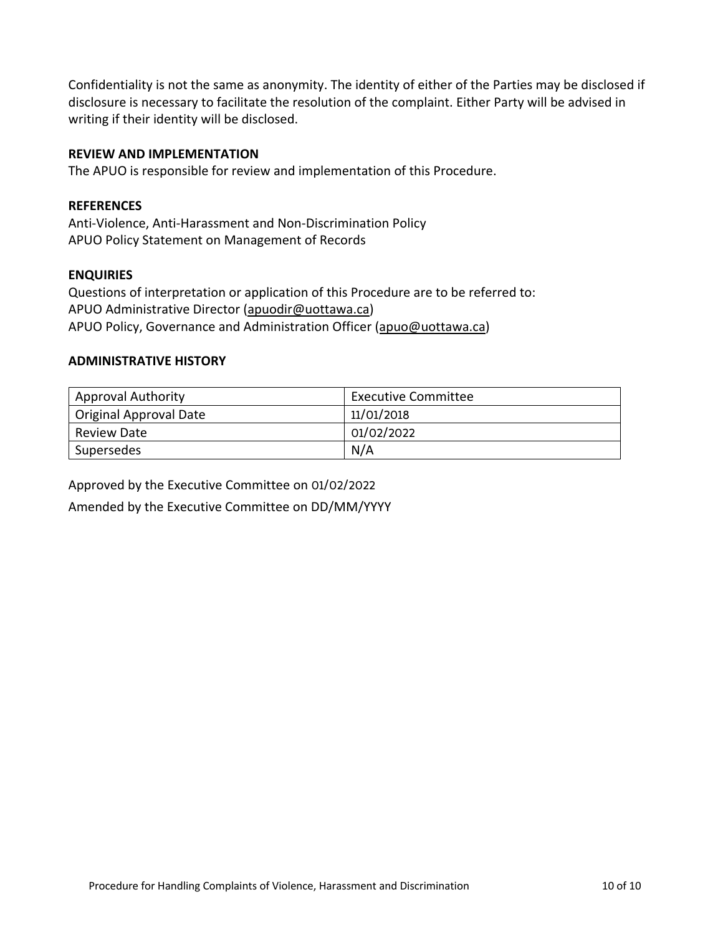Confidentiality is not the same as anonymity. The identity of either of the Parties may be disclosed if disclosure is necessary to facilitate the resolution of the complaint. Either Party will be advised in writing if their identity will be disclosed.

#### **REVIEW AND IMPLEMENTATION**

The APUO is responsible for review and implementation of this Procedure.

#### **REFERENCES**

Anti-Violence, Anti-Harassment and Non-Discrimination Policy APUO Policy Statement on Management of Records

#### **ENQUIRIES**

Questions of interpretation or application of this Procedure are to be referred to: APUO Administrative Director (apuodir@uottawa.ca) APUO Policy, Governance and Administration Officer (apuo@uottawa.ca)

#### **ADMINISTRATIVE HISTORY**

| <b>Approval Authority</b> | Executive Committee |
|---------------------------|---------------------|
| Original Approval Date    | 11/01/2018          |
| <b>Review Date</b>        | 01/02/2022          |
| Supersedes                | N/A                 |

Approved by the Executive Committee on 01/02/2022 Amended by the Executive Committee on DD/MM/YYYY